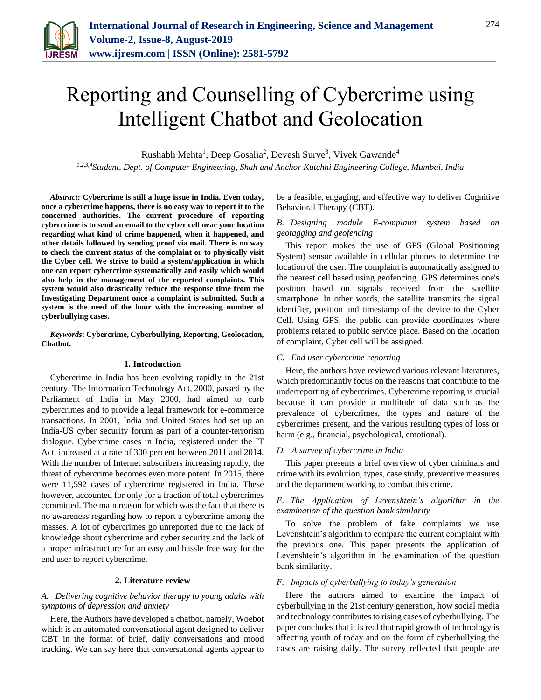

# Reporting and Counselling of Cybercrime using Intelligent Chatbot and Geolocation

Rushabh Mehta<sup>1</sup>, Deep Gosalia<sup>2</sup>, Devesh Surve<sup>3</sup>, Vivek Gawande<sup>4</sup>

*1,2,3,4Student, Dept. of Computer Engineering, Shah and Anchor Kutchhi Engineering College, Mumbai, India*

*Abstract***: Cybercrime is still a huge issue in India. Even today, once a cybercrime happens, there is no easy way to report it to the concerned authorities. The current procedure of reporting cybercrime is to send an email to the cyber cell near your location regarding what kind of crime happened, when it happened, and other details followed by sending proof via mail. There is no way to check the current status of the complaint or to physically visit the Cyber cell. We strive to build a system/application in which one can report cybercrime systematically and easily which would also help in the management of the reported complaints. This system would also drastically reduce the response time from the Investigating Department once a complaint is submitted. Such a system is the need of the hour with the increasing number of cyberbullying cases.**

*Keywords***: Cybercrime, Cyberbullying, Reporting, Geolocation, Chatbot.**

# **1. Introduction**

Cybercrime in India has been evolving rapidly in the 21st century. The Information Technology Act, 2000, passed by the Parliament of India in May 2000, had aimed to curb cybercrimes and to provide a legal framework for e-commerce transactions. In 2001, India and United States had set up an India-US cyber security forum as part of a counter-terrorism dialogue. Cybercrime cases in India, registered under the IT Act, increased at a rate of 300 percent between 2011 and 2014. With the number of Internet subscribers increasing rapidly, the threat of cybercrime becomes even more potent. In 2015, there were 11,592 cases of cybercrime registered in India. These however, accounted for only for a fraction of total cybercrimes committed. The main reason for which was the fact that there is no awareness regarding how to report a cybercrime among the masses. A lot of cybercrimes go unreported due to the lack of knowledge about cybercrime and cyber security and the lack of a proper infrastructure for an easy and hassle free way for the end user to report cybercrime.

#### **2. Literature review**

# *A. Delivering cognitive behavior therapy to young adults with symptoms of depression and anxiety*

Here, the Authors have developed a chatbot, namely, Woebot which is an automated conversational agent designed to deliver CBT in the format of brief, daily conversations and mood tracking. We can say here that conversational agents appear to

be a feasible, engaging, and effective way to deliver Cognitive Behavioral Therapy (CBT).

# *B. Designing module E-complaint system based on geotagging and geofencing*

This report makes the use of GPS (Global Positioning System) sensor available in cellular phones to determine the location of the user. The complaint is automatically assigned to the nearest cell based using geofencing. GPS determines one's position based on signals received from the satellite smartphone. In other words, the satellite transmits the signal identifier, position and timestamp of the device to the Cyber Cell. Using GPS, the public can provide coordinates where problems related to public service place. Based on the location of complaint, Cyber cell will be assigned.

#### *C. End user cybercrime reporting*

Here, the authors have reviewed various relevant literatures, which predominantly focus on the reasons that contribute to the underreporting of cybercrimes. Cybercrime reporting is crucial because it can provide a multitude of data such as the prevalence of cybercrimes, the types and nature of the cybercrimes present, and the various resulting types of loss or harm (e.g., financial, psychological, emotional).

# *D. A survey of cybercrime in India*

This paper presents a brief overview of cyber criminals and crime with its evolution, types, case study, preventive measures and the department working to combat this crime.

*E. The Application of Levenshtein's algorithm in the examination of the question bank similarity*

To solve the problem of fake complaints we use Levenshtein's algorithm to compare the current complaint with the previous one. This paper presents the application of Levenshtein's algorithm in the examination of the question bank similarity.

#### *F. Impacts of cyberbullying to today's generation*

Here the authors aimed to examine the impact of cyberbullying in the 21st century generation, how social media and technology contributes to rising cases of cyberbullying. The paper concludes that it is real that rapid growth of technology is affecting youth of today and on the form of cyberbullying the cases are raising daily. The survey reflected that people are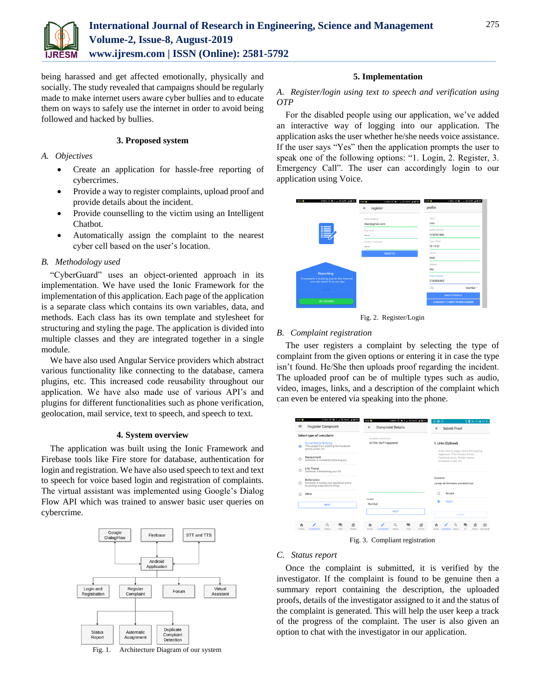

being harassed and get affected emotionally, physically and socially. The study revealed that campaigns should be regularly made to make internet users aware cyber bullies and to educate them on ways to safely use the internet in order to avoid being followed and hacked by bullies.

# **3. Proposed system**

# *A. Objectives*

- Create an application for hassle-free reporting of cybercrimes.
- Provide a way to register complaints, upload proof and provide details about the incident.
- Provide counselling to the victim using an Intelligent Chatbot.
- Automatically assign the complaint to the nearest cyber cell based on the user's location.

## *B. Methodology used*

"CyberGuard" uses an object-oriented approach in its implementation. We have used the Ionic Framework for the implementation of this application. Each page of the application is a separate class which contains its own variables, data, and methods. Each class has its own template and stylesheet for structuring and styling the page. The application is divided into multiple classes and they are integrated together in a single module.

We have also used Angular Service providers which abstract various functionality like connecting to the database, camera plugins, etc. This increased code reusability throughout our application. We have also made use of various API's and plugins for different functionalities such as phone verification, geolocation, mail service, text to speech, and speech to text.

#### **4. System overview**

The application was built using the Ionic Framework and Firebase tools like Fire store for database, authentication for login and registration. We have also used speech to text and text to speech for voice based login and registration of complaints. The virtual assistant was implemented using Google's Dialog Flow API which was trained to answer basic user queries on cybercrime.



Fig. 1. Architecture Diagram of our system

# **5. Implementation**

# *A. Register/login using text to speech and verification using OTP*

For the disabled people using our application, we've added an interactive way of logging into our application. The application asks the user whether he/she needs voice assistance. If the user says "Yes" then the application prompts the user to speak one of the following options: "1. Login, 2. Register, 3. Emergency Call". The user can accordingly login to our application using Voice.



Fig. 2. Register/Login

#### *B. Complaint registration*

The user registers a complaint by selecting the type of complaint from the given options or entering it in case the type isn't found. He/She then uploads proof regarding the incident. The uploaded proof can be of multiple types such as audio, video, images, links, and a description of the complaint which can even be entered via speaking into the phone.



#### *C. Status report*

Once the complaint is submitted, it is verified by the investigator. If the complaint is found to be genuine then a summary report containing the description, the uploaded proofs, details of the investigator assigned to it and the status of the complaint is generated. This will help the user keep a track of the progress of the complaint. The user is also given an option to chat with the investigator in our application.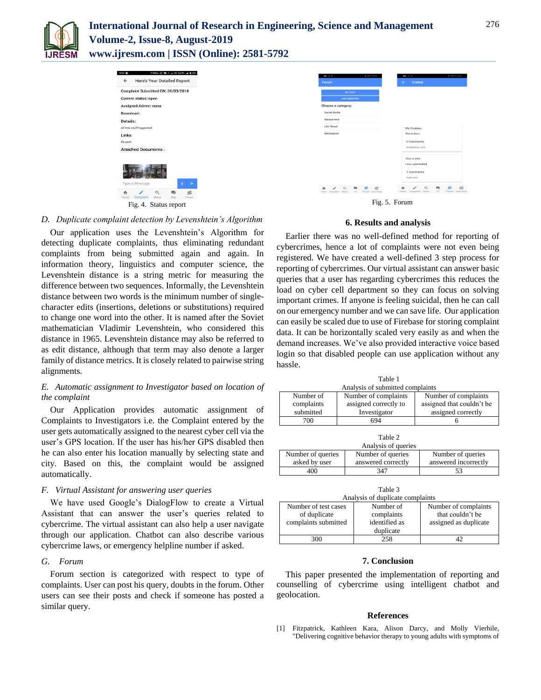

# **International Journal of Research in Engineering, Science and Management Volume-2, Issue-8, August-2019**

**www.ijresm.com | ISSN (Online): 2581-5792** 



# *D. Duplicate complaint detection by Levenshtein's Algorithm*

Our application uses the Levenshtein's Algorithm for detecting duplicate complaints, thus eliminating redundant complaints from being submitted again and again. In information theory, linguistics and computer science, the Levenshtein distance is a string metric for measuring the difference between two sequences. Informally, the Levenshtein distance between two words is the minimum number of singlecharacter edits (insertions, deletions or substitutions) required to change one word into the other. It is named after the Soviet mathematician Vladimir Levenshtein, who considered this distance in 1965. Levenshtein distance may also be referred to as edit distance, although that term may also denote a larger family of distance metrics. It is closely related to pairwise string alignments.

# *E. Automatic assignment to Investigator based on location of the complaint*

Our Application provides automatic assignment of Complaints to Investigators i.e. the Complaint entered by the user gets automatically assigned to the nearest cyber cell via the user's GPS location. If the user has his/her GPS disabled then he can also enter his location manually by selecting state and city. Based on this, the complaint would be assigned automatically.

#### *F. Virtual Assistant for answering user queries*

We have used Google's DialogFlow to create a Virtual Assistant that can answer the user's queries related to cybercrime. The virtual assistant can also help a user navigate through our application. Chatbot can also describe various cybercrime laws, or emergency helpline number if asked.

#### *G. Forum*

Forum section is categorized with respect to type of complaints. User can post his query, doubts in the forum. Other users can see their posts and check if someone has posted a similar query.



#### **6. Results and analysis**

Earlier there was no well-defined method for reporting of cybercrimes, hence a lot of complaints were not even being registered. We have created a well-defined 3 step process for reporting of cybercrimes. Our virtual assistant can answer basic queries that a user has regarding cybercrimes this reduces the load on cyber cell department so they can focus on solving important crimes. If anyone is feeling suicidal, then he can call on our emergency number and we can save life. Our application can easily be scaled due to use of Firebase for storing complaint data. It can be horizontally scaled very easily as and when the demand increases. We've also provided interactive voice based login so that disabled people can use application without any hassle.

| Table 1<br>Analysis of submitted complaints |                                               |                                                   |  |  |
|---------------------------------------------|-----------------------------------------------|---------------------------------------------------|--|--|
| Number of<br>complaints                     | Number of complaints<br>assigned correctly to | Number of complaints<br>assigned that couldn't be |  |  |
| submitted                                   | Investigator                                  | assigned correctly                                |  |  |

700 694 6

| Table 2<br>Analysis of queries     |                                         |                                           |  |  |
|------------------------------------|-----------------------------------------|-------------------------------------------|--|--|
| Number of queries<br>asked by user | Number of queries<br>answered correctly | Number of queries<br>answered incorrectly |  |  |
| 400                                | 347                                     |                                           |  |  |

| Table 3<br>Analysis of duplicate complaints                  |                                                       |                                                                   |  |  |
|--------------------------------------------------------------|-------------------------------------------------------|-------------------------------------------------------------------|--|--|
| Number of test cases<br>of duplicate<br>complaints submitted | Number of<br>complaints<br>identified as<br>duplicate | Number of complaints<br>that couldn't be<br>assigned as duplicate |  |  |
|                                                              | 258                                                   |                                                                   |  |  |

#### **7. Conclusion**

This paper presented the implementation of reporting and counselling of cybercrime using intelligent chatbot and geolocation.

#### **References**

[1] Fitzpatrick, Kathleen Kara, Alison Darcy, and Molly Vierhile, "Delivering cognitive behavior therapy to young adults with symptoms of